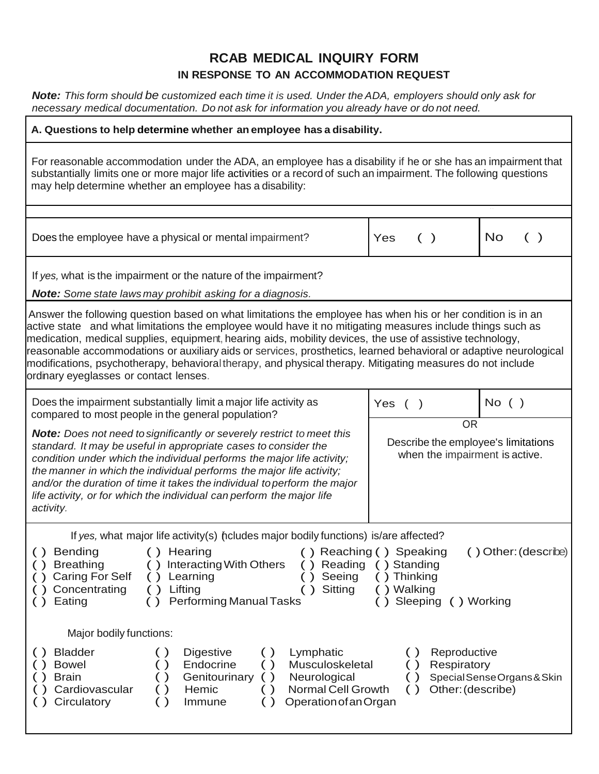## **RCAB MEDICAL INQUIRY FORM IN RESPONSE TO AN ACCOMMODATION REQUEST**

Note: This form should be customized each time it is used. Under the ADA, employers should only ask for *necessary medical documentation. Do not ask for information you already have or do not need.*

| A. Questions to help determine whether an employee has a disability.                                                                                                                                                                                                                                                                                                                                                                                                                                                                                                                                                |                                                                                    |                             |
|---------------------------------------------------------------------------------------------------------------------------------------------------------------------------------------------------------------------------------------------------------------------------------------------------------------------------------------------------------------------------------------------------------------------------------------------------------------------------------------------------------------------------------------------------------------------------------------------------------------------|------------------------------------------------------------------------------------|-----------------------------|
| For reasonable accommodation under the ADA, an employee has a disability if he or she has an impairment that<br>substantially limits one or more major life activities or a record of such an impairment. The following questions<br>may help determine whether an employee has a disability:                                                                                                                                                                                                                                                                                                                       |                                                                                    |                             |
|                                                                                                                                                                                                                                                                                                                                                                                                                                                                                                                                                                                                                     |                                                                                    |                             |
| Does the employee have a physical or mental impairment?                                                                                                                                                                                                                                                                                                                                                                                                                                                                                                                                                             | Yes<br>( )                                                                         | No<br>$\lambda$             |
| If yes, what is the impairment or the nature of the impairment?                                                                                                                                                                                                                                                                                                                                                                                                                                                                                                                                                     |                                                                                    |                             |
| <b>Note:</b> Some state laws may prohibit asking for a diagnosis.                                                                                                                                                                                                                                                                                                                                                                                                                                                                                                                                                   |                                                                                    |                             |
| Answer the following question based on what limitations the employee has when his or her condition is in an<br>active state and what limitations the employee would have it no mitigating measures include things such as<br>medication, medical supplies, equipment, hearing aids, mobility devices, the use of assistive technology,<br>reasonable accommodations or auxiliary aids or services, prosthetics, learned behavioral or adaptive neurological<br>modifications, psychotherapy, behavioral therapy, and physical therapy. Mitigating measures do not include<br>ordinary eyeglasses or contact lenses. |                                                                                    |                             |
| Does the impairment substantially limit a major life activity as<br>compared to most people in the general population?                                                                                                                                                                                                                                                                                                                                                                                                                                                                                              | Yes $($ $)$                                                                        | $No$ ( )                    |
| <b>Note:</b> Does not need to significantly or severely restrict to meet this<br>standard. It may be useful in appropriate cases to consider the<br>condition under which the individual performs the major life activity;<br>the manner in which the individual performs the major life activity;<br>and/or the duration of time it takes the individual to perform the major<br>life activity, or for which the individual can perform the major life<br>activity.                                                                                                                                                | <b>OR</b><br>Describe the employee's limitations<br>when the impairment is active. |                             |
| If yes, what major life activity(s) ncludes major bodily functions) is/are affected?<br>Bending<br>() Reaching () Speaking<br>() Other: (describe)<br>() Hearing<br>( )<br><b>Interacting With Others</b><br><b>Breathing</b><br>() Reading<br>() Standing<br><b>Caring For Self</b><br>Seeing<br>() Thinking<br>Learning<br>Sitting<br>Concentrating<br>Lifting<br>() Walking<br>$($ )<br>$^{(+)}$<br><b>Performing Manual Tasks</b><br>() Sleeping () Working<br>Eating<br>( )<br>Major bodily functions:                                                                                                         |                                                                                    |                             |
| <b>Bladder</b><br>Lymphatic<br>$\left( \ \right)$<br>Digestive<br>$\left( \ \right)$<br>( )                                                                                                                                                                                                                                                                                                                                                                                                                                                                                                                         | Reproductive<br>( )                                                                |                             |
| Endocrine<br>Musculoskeletal<br><b>Bowel</b><br>$\left( \ \right)$<br>$\left( \ \right)$<br>Genitourinary<br>Neurological<br><b>Brain</b><br>( )<br>$\left( \quad \right)$<br>Cardiovascular<br>Hemic<br>Normal Cell Growth<br>$\left( \quad \right)$<br>Circulatory<br>Operation of an Organ<br>Immune<br>$\left( \ \right)$<br>$\left( \right)$                                                                                                                                                                                                                                                                   | Respiratory<br>$\left( \ \right)$<br>Other: (describe)<br>( )                      | Special Sense Organs & Skin |